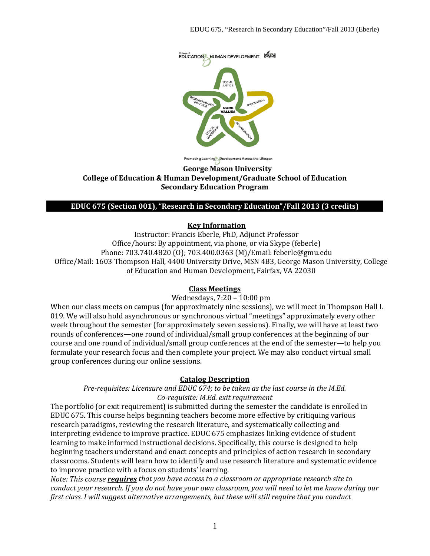

oting Learning Development Across the Lifespan

#### **George Mason University College of Education & Human Development/Graduate School of Education Secondary Education Program**

#### **EDUC 675 (Section 001), "Research in Secondary Education"/Fall 2013 (3 credits)**

#### **Key Information**

Instructor: Francis Eberle, PhD, Adjunct Professor Office/hours: By appointment, via phone, or via Skype (feberle) Phone: 703.740.4820 (O); 703.400.0363 (M)/Email: feberle@gmu.edu Office/Mail: 1603 Thompson Hall, 4400 University Drive, MSN 4B3, George Mason University, College of Education and Human Development, Fairfax, VA 22030

#### **Class Meetings**

#### Wednesdays, 7:20 – 10:00 pm

When our class meets on campus (for approximately nine sessions), we will meet in Thompson Hall L 019. We will also hold asynchronous or synchronous virtual "meetings" approximately every other week throughout the semester (for approximately seven sessions). Finally, we will have at least two rounds of conferences—one round of individual/small group conferences at the beginning of our course and one round of individual/small group conferences at the end of the semester—to help you formulate your research focus and then complete your project. We may also conduct virtual small group conferences during our online sessions.

#### **Catalog Description**

*Pre-requisites: Licensure and EDUC 674; to be taken as the last course in the M.Ed. Co-requisite: M.Ed. exit requirement*

The portfolio (or exit requirement) is submitted during the semester the candidate is enrolled in EDUC 675. This course helps beginning teachers become more effective by critiquing various research paradigms, reviewing the research literature, and systematically collecting and interpreting evidence to improve practice. EDUC 675 emphasizes linking evidence of student learning to make informed instructional decisions. Specifically, this course is designed to help beginning teachers understand and enact concepts and principles of action research in secondary classrooms. Students will learn how to identify and use research literature and systematic evidence to improve practice with a focus on students' learning.

*Note: This course requires that you have access to a classroom or appropriate research site to conduct your research. If you do not have your own classroom, you will need to let me know during our first class. I will suggest alternative arrangements, but these will still require that you conduct*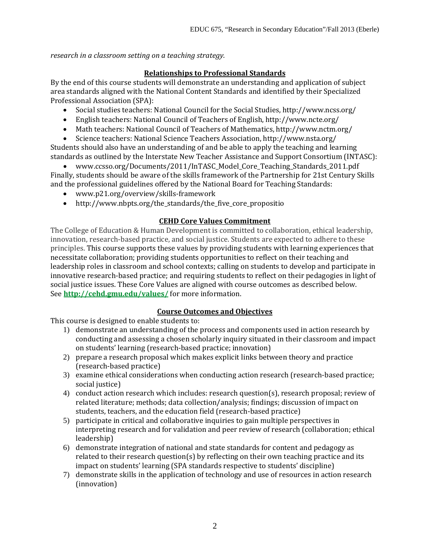*research in a classroom setting on a teaching strategy.*

# **Relationships to Professional Standards**

By the end of this course students will demonstrate an understanding and application of subject area standards aligned with the National Content Standards and identified by their Specialized Professional Association (SPA):

- Social studies teachers: National Council for the Social Studies, http://www.ncss.org/
- English teachers: National Council of Teachers of English, http://www.ncte.org/
- Math teachers: National Council of Teachers of Mathematics, http://www.nctm.org/
- Science teachers: National Science Teachers Association, http://www.nsta.org/

Students should also have an understanding of and be able to apply the teaching and learning standards as outlined by the Interstate New Teacher Assistance and Support Consortium (INTASC):

• www.ccsso.org/Documents/2011/InTASC\_Model\_Core\_Teaching\_Standards\_2011.pdf Finally, students should be aware of the skills framework of the Partnership for 21st Century Skills and the professional guidelines offered by the National Board for Teaching Standards:

- www.p21.org/overview/skills-framework
- http://www.nbpts.org/the\_standards/the\_five\_core\_propositio

# **CEHD Core Values Commitment**

The College of Education & Human Development is committed to collaboration, ethical leadership, innovation, research-based practice, and social justice. Students are expected to adhere to these principles. This course supports these values by providing students with learning experiences that necessitate collaboration; providing students opportunities to reflect on their teaching and leadership roles in classroom and school contexts; calling on students to develop and participate in innovative research-based practice; and requiring students to reflect on their pedagogies in light of social justice issues. These Core Values are aligned with course outcomes as described below. See **<http://cehd.gmu.edu/values/>** for more information.

# **Course Outcomes and Objectives**

This course is designed to enable students to:

- 1) demonstrate an understanding of the process and components used in action research by conducting and assessing a chosen scholarly inquiry situated in their classroom and impact on students' learning (research-based practice; innovation)
- 2) prepare a research proposal which makes explicit links between theory and practice (research-based practice)
- 3) examine ethical considerations when conducting action research (research-based practice; social justice)
- 4) conduct action research which includes: research question(s), research proposal; review of related literature; methods; data collection/analysis; findings; discussion of impact on students, teachers, and the education field (research-based practice)
- 5) participate in critical and collaborative inquiries to gain multiple perspectives in interpreting research and for validation and peer review of research (collaboration; ethical leadership)
- 6) demonstrate integration of national and state standards for content and pedagogy as related to their research question(s) by reflecting on their own teaching practice and its impact on students' learning (SPA standards respective to students' discipline)
- 7) demonstrate skills in the application of technology and use of resources in action research (innovation)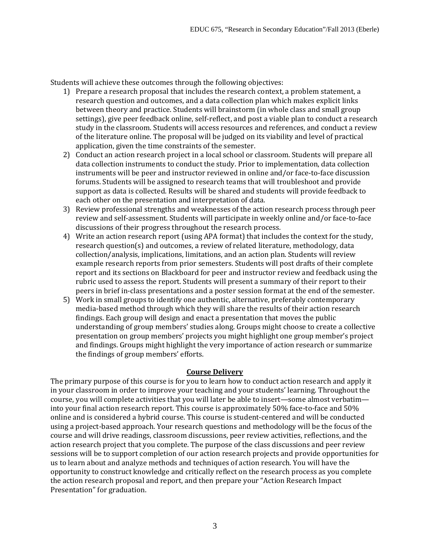Students will achieve these outcomes through the following objectives:

- 1) Prepare a research proposal that includes the research context, a problem statement, a research question and outcomes, and a data collection plan which makes explicit links between theory and practice. Students will brainstorm (in whole class and small group settings), give peer feedback online, self-reflect, and post a viable plan to conduct a research study in the classroom. Students will access resources and references, and conduct a review of the literature online. The proposal will be judged on its viability and level of practical application, given the time constraints of the semester.
- 2) Conduct an action research project in a local school or classroom. Students will prepare all data collection instruments to conduct the study. Prior to implementation, data collection instruments will be peer and instructor reviewed in online and/or face-to-face discussion forums. Students will be assigned to research teams that will troubleshoot and provide support as data is collected. Results will be shared and students will provide feedback to each other on the presentation and interpretation of data.
- 3) Review professional strengths and weaknesses of the action research process through peer review and self-assessment. Students will participate in weekly online and/or face-to-face discussions of their progress throughout the research process.
- 4) Write an action research report (using APA format) that includes the context for the study, research question(s) and outcomes, a review of related literature, methodology, data collection/analysis, implications, limitations, and an action plan. Students will review example research reports from prior semesters. Students will post drafts of their complete report and its sections on Blackboard for peer and instructor review and feedback using the rubric used to assess the report. Students will present a summary of their report to their peers in brief in-class presentations and a poster session format at the end of the semester.
- 5) Work in small groups to identify one authentic, alternative, preferably contemporary media-based method through which they will share the results of their action research findings. Each group will design and enact a presentation that moves the public understanding of group members' studies along. Groups might choose to create a collective presentation on group members' projects you might highlight one group member's project and findings. Groups might highlight the very importance of action research or summarize the findings of group members' efforts.

# **Course Delivery**

The primary purpose of this course is for you to learn how to conduct action research and apply it in your classroom in order to improve your teaching and your students' learning. Throughout the course, you will complete activities that you will later be able to insert—some almost verbatim into your final action research report. This course is approximately 50% face-to-face and 50% online and is considered a hybrid course. This course is student-centered and will be conducted using a project-based approach. Your research questions and methodology will be the focus of the course and will drive readings, classroom discussions, peer review activities, reflections, and the action research project that you complete. The purpose of the class discussions and peer review sessions will be to support completion of our action research projects and provide opportunities for us to learn about and analyze methods and techniques of action research. You will have the opportunity to construct knowledge and critically reflect on the research process as you complete the action research proposal and report, and then prepare your "Action Research Impact Presentation" for graduation.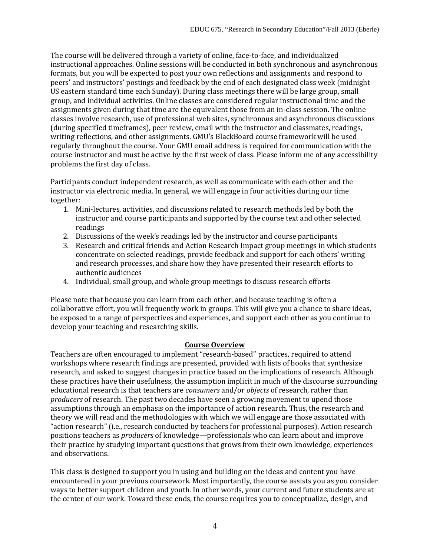The course will be delivered through a variety of online, face-to-face, and individualized instructional approaches. Online sessions will be conducted in both synchronous and asynchronous formats, but you will be expected to post your own reflections and assignments and respond to peers' and instructors' postings and feedback by the end of each designated class week (midnight US eastern standard time each Sunday). During class meetings there will be large group, small group, and individual activities. Online classes are considered regular instructional time and the assignments given during that time are the equivalent those from an in-class session. The online classes involve research, use of professional web sites, synchronous and asynchronous discussions (during specified timeframes), peer review, email with the instructor and classmates, readings, writing reflections, and other assignments. GMU's BlackBoard course framework will be used regularly throughout the course. Your GMU email address is required for communication with the course instructor and must be active by the first week of class. Please inform me of any accessibility problems the first day of class.

Participants conduct independent research, as well as communicate with each other and the instructor via electronic media. In general, we will engage in four activities during our time together:

- 1. Mini-lectures, activities, and discussions related to research methods led by both the instructor and course participants and supported by the course text and other selected readings
- 2. Discussions of the week's readings led by the instructor and course participants
- 3. Research and critical friends and Action Research Impact group meetings in which students concentrate on selected readings, provide feedback and support for each others' writing and research processes, and share how they have presented their research efforts to authentic audiences
- 4. Individual, small group, and whole group meetings to discuss research efforts

Please note that because you can learn from each other, and because teaching is often a collaborative effort, you will frequently work in groups. This will give you a chance to share ideas, be exposed to a range of perspectives and experiences, and support each other as you continue to develop your teaching and researching skills.

# **Course Overview**

Teachers are often encouraged to implement "research-based" practices, required to attend workshops where research findings are presented, provided with lists of books that synthesize research, and asked to suggest changes in practice based on the implications of research. Although these practices have their usefulness, the assumption implicit in much of the discourse surrounding educational research is that teachers are *consumers* and/or *objects* of research, rather than *producers* of research. The past two decades have seen a growing movement to upend those assumptions through an emphasis on the importance of action research. Thus, the research and theory we will read and the methodologies with which we will engage are those associated with "action research" (i.e., research conducted by teachers for professional purposes). Action research positions teachers as *producers* of knowledge—professionals who can learn about and improve their practice by studying important questions that grows from their own knowledge, experiences and observations.

This class is designed to support you in using and building on the ideas and content you have encountered in your previous coursework. Most importantly, the course assists you as you consider ways to better support children and youth. In other words, your current and future students are at the center of our work. Toward these ends, the course requires you to conceptualize, design, and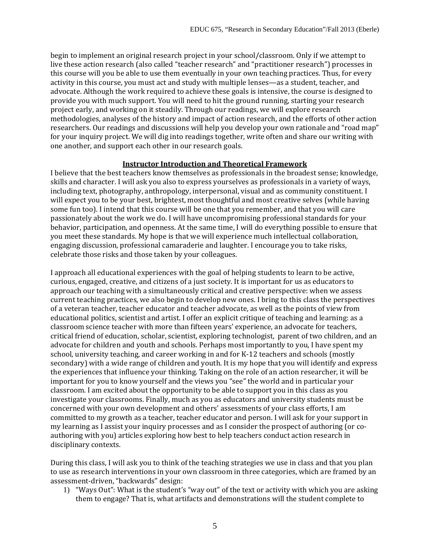begin to implement an original research project in your school/classroom. Only if we attempt to live these action research (also called "teacher research" and "practitioner research") processes in this course will you be able to use them eventually in your own teaching practices. Thus, for every activity in this course, you must act and study with multiple lenses—as a student, teacher, and advocate. Although the work required to achieve these goals is intensive, the course is designed to provide you with much support. You will need to hit the ground running, starting your research project early, and working on it steadily. Through our readings, we will explore research methodologies, analyses of the history and impact of action research, and the efforts of other action researchers. Our readings and discussions will help you develop your own rationale and "road map" for your inquiry project. We will dig into readings together, write often and share our writing with one another, and support each other in our research goals.

#### **Instructor Introduction and Theoretical Framework**

I believe that the best teachers know themselves as professionals in the broadest sense; knowledge, skills and character. I will ask you also to express yourselves as professionals in a variety of ways, including text, photography, anthropology, interpersonal, visual and as community constituent. I will expect you to be your best, brightest, most thoughtful and most creative selves (while having some fun too). I intend that this course will be one that you remember, and that you will care passionately about the work we do. I will have uncompromising professional standards for your behavior, participation, and openness. At the same time, I will do everything possible to ensure that you meet these standards. My hope is that we will experience much intellectual collaboration, engaging discussion, professional camaraderie and laughter. I encourage you to take risks, celebrate those risks and those taken by your colleagues.

I approach all educational experiences with the goal of helping students to learn to be active, curious, engaged, creative, and citizens of a just society. It is important for us as educators to approach our teaching with a simultaneously critical and creative perspective: when we assess current teaching practices, we also begin to develop new ones. I bring to this class the perspectives of a veteran teacher, teacher educator and teacher advocate, as well as the points of view from educational politics, scientist and artist. I offer an explicit critique of teaching and learning: as a classroom science teacher with more than fifteen years' experience, an advocate for teachers, critical friend of education, scholar, scientist, exploring technologist, parent of two children, and an advocate for children and youth and schools. Perhaps most importantly to you, I have spent my school, university teaching, and career working in and for K-12 teachers and schools (mostly secondary) with a wide range of children and youth. It is my hope that you will identify and express the experiences that influence your thinking. Taking on the role of an action researcher, it will be important for you to know yourself and the views you "see" the world and in particular your classroom. I am excited about the opportunity to be able to support you in this class as you investigate your classrooms. Finally, much as you as educators and university students must be concerned with your own development and others' assessments of your class efforts, I am committed to my growth as a teacher, teacher educator and person. I will ask for your support in my learning as I assist your inquiry processes and as I consider the prospect of authoring (or coauthoring with you) articles exploring how best to help teachers conduct action research in disciplinary contexts.

During this class, I will ask you to think of the teaching strategies we use in class and that you plan to use as research interventions in your own classroom in three categories, which are framed by an assessment-driven, "backwards" design:

1) "Ways Out": What is the student's "way out" of the text or activity with which you are asking them to engage? That is, what artifacts and demonstrations will the student complete to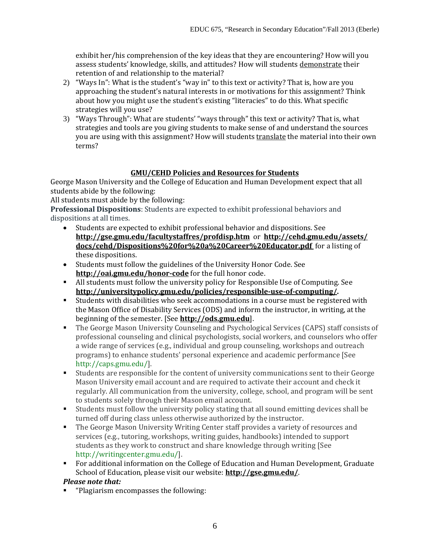exhibit her/his comprehension of the key ideas that they are encountering? How will you assess students' knowledge, skills, and attitudes? How will students demonstrate their retention of and relationship to the material?

- 2) "Ways In": What is the student's "way in" to this text or activity? That is, how are you approaching the student's natural interests in or motivations for this assignment? Think about how you might use the student's existing "literacies" to do this. What specific strategies will you use?
- 3) "Ways Through": What are students' "ways through" this text or activity? That is, what strategies and tools are you giving students to make sense of and understand the sources you are using with this assignment? How will students translate the material into their own terms?

# **GMU/CEHD Policies and Resources for Students**

George Mason University and the College of Education and Human Development expect that all students abide by the following:

All students must abide by the following:

**Professional Dispositions**: Students are expected to exhibit professional behaviors and dispositions at all times.<br>
• Students are experiently

- Students are expected to exhibit professional behavior and dispositions. See **http://gse.gmu.edu/facultystaffres/profdisp.htm** or **[http://cehd.gmu.edu/assets/](http://cehd.gmu.edu/assets/%20docs/cehd/Dispositions%20for%20a%20Career%20Educator.pdf)  [docs/cehd/Dispositions%20for%20a%20Career%20Educator.pdf](http://cehd.gmu.edu/assets/%20docs/cehd/Dispositions%20for%20a%20Career%20Educator.pdf)** for a listing of these dispositions.
- Students must follow the guidelines of the University Honor Code. See **http://oai.gmu.edu/honor-code** for the full honor code.
- All students must follow the university policy for Responsible Use of Computing. See **[http://universitypolicy.gmu.edu/policies/responsible-use-of-computing/.](http://universitypolicy.gmu.edu/policies/responsible-use-of-computing/)**
- Students with disabilities who seek accommodations in a course must be registered with the Mason Office of Disability Services (ODS) and inform the instructor, in writing, at the beginning of the semester. [See **[http://ods.gmu.edu](http://ods.gmu.edu/)**].
- The George Mason University Counseling and Psychological Services (CAPS) staff consists of professional counseling and clinical psychologists, social workers, and counselors who offer a wide range of services (e.g., individual and group counseling, workshops and outreach programs) to enhance students' personal experience and academic performance [See [http://caps.gmu.edu/\]](http://caps.gmu.edu/).
- Students are responsible for the content of university communications sent to their George Mason University email account and are required to activate their account and check it regularly. All communication from the university, college, school, and program will be sent to students solely through their Mason email account.
- Students must follow the university policy stating that all sound emitting devices shall be turned off during class unless otherwise authorized by the instructor.
- **The George Mason University Writing Center staff provides a variety of resources and** services (e.g., tutoring, workshops, writing guides, handbooks) intended to support students as they work to construct and share knowledge through writing [See [http://writingcenter.gmu.edu/\]](http://writingcenter.gmu.edu/).
- For additional information on the College of Education and Human Development, Graduate School of Education, please visit our website: **<http://gse.gmu.edu/>**.

# *Please note that:*

"Plagiarism encompasses the following: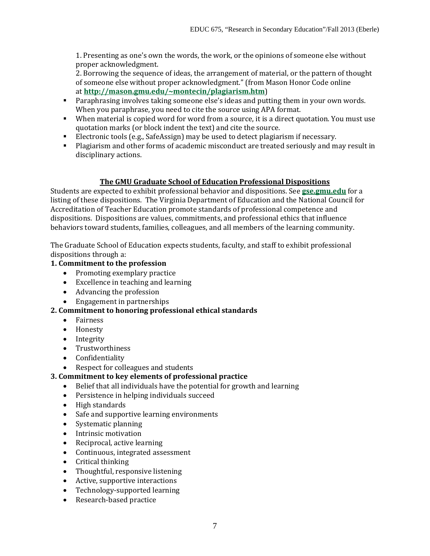1. Presenting as one's own the words, the work, or the opinions of someone else without proper acknowledgment.

2. Borrowing the sequence of ideas, the arrangement of material, or the pattern of thought of someone else without proper acknowledgment." (from Mason Honor Code online at **[http://mason.gmu.edu/~montecin/plagiarism.htm](http://mason.gmu.edu/%7Emontecin/plagiarism.htm)**)

- **Paraphrasing involves taking someone else's ideas and putting them in your own words.** When you paraphrase, you need to cite the source using APA format.
- When material is copied word for word from a source, it is a direct quotation. You must use quotation marks (or block indent the text) and cite the source.
- Electronic tools (e.g., SafeAssign) may be used to detect plagiarism if necessary.
- Plagiarism and other forms of academic misconduct are treated seriously and may result in disciplinary actions.

# **The GMU Graduate School of Education Professional Dispositions**

Students are expected to exhibit professional behavior and dispositions. See **[gse.gmu.edu](http://gse.gmu.edu/)** for a listing of these dispositions. The Virginia Department of Education and the National Council for Accreditation of Teacher Education promote standards of professional competence and dispositions. Dispositions are values, commitments, and professional ethics that influence behaviors toward students, families, colleagues, and all members of the learning community.

The Graduate School of Education expects students, faculty, and staff to exhibit professional dispositions through a:

# **1. Commitment to the profession**

- Promoting exemplary practice
- Excellence in teaching and learning
- Advancing the profession
- Engagement in partnerships

# **2. Commitment to honoring professional ethical standards**

- Fairness
- Honesty
- Integrity
- Trustworthiness
- Confidentiality<br>• Respect for coll
- Respect for colleagues and students

# **3. Commitment to key elements of professional practice**

- Belief that all individuals have the potential for growth and learning
- Persistence in helping individuals succeed
- High standards
- Safe and supportive learning environments<br>• Systematic planning
- Systematic planning
- Intrinsic motivation
- Reciprocal, active learning
- Continuous, integrated assessment
- Critical thinking<br>• Thoughtful. respo
- Thoughtful, responsive listening
- Active, supportive interactions
- Technology-supported learning
- Research-based practice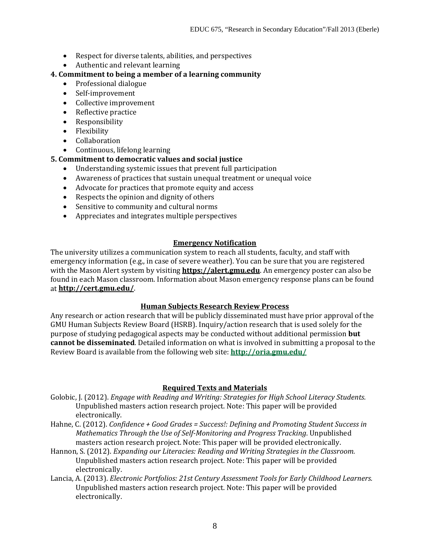- Respect for diverse talents, abilities, and perspectives
- Authentic and relevant learning

# **4. Commitment to being a member of a learning community**

- Professional dialogue
- Self-improvement
- Collective improvement
- Reflective practice
- Responsibility
- Flexibility
- Collaboration
- Continuous, lifelong learning

# **5. Commitment to democratic values and social justice**

- Understanding systemic issues that prevent full participation
- Awareness of practices that sustain unequal treatment or unequal voice
- Advocate for practices that promote equity and access
- Respects the opinion and dignity of others
- Sensitive to community and cultural norms
- Appreciates and integrates multiple perspectives

# **Emergency Notification**

The university utilizes a communication system to reach all students, faculty, and staff with emergency information (e.g., in case of severe weather). You can be sure that you are registered with the Mason Alert system by visiting **[https://alert.gmu.edu](https://alert.gmu.edu/)**. An emergency poster can also be found in each Mason classroom. Information about Mason emergency response plans can be found at **<http://cert.gmu.edu/>**.

# **Human Subjects Research Review Process**

Any research or action research that will be publicly disseminated must have prior approval of the GMU Human Subjects Review Board (HSRB). Inquiry/action research that is used solely for the purpose of studying pedagogical aspects may be conducted without additional permission **but cannot be disseminated**. Detailed information on what is involved in submitting a proposal to the Review Board is available from the following web site: **<http://oria.gmu.edu/>**

# **Required Texts and Materials**

- Golobic, J. (2012). *Engage with Reading and Writing: Strategies for High School Literacy Students.*  Unpublished masters action research project. Note: This paper will be provided electronically.
- Hahne, C. (2012). *Confidence + Good Grades = Success!: Defining and Promoting Student Success in Mathematics Through the Use of Self-Monitoring and Progress Tracking*. Unpublished masters action research project. Note: This paper will be provided electronically.
- Hannon, S. (2012). *Expanding our Literacies: Reading and Writing Strategies in the Classroom.* Unpublished masters action research project. Note: This paper will be provided electronically.
- Lancia, A. (2013). *Electronic Portfolios: 21st Century Assessment Tools for Early Childhood Learners.* Unpublished masters action research project. Note: This paper will be provided electronically.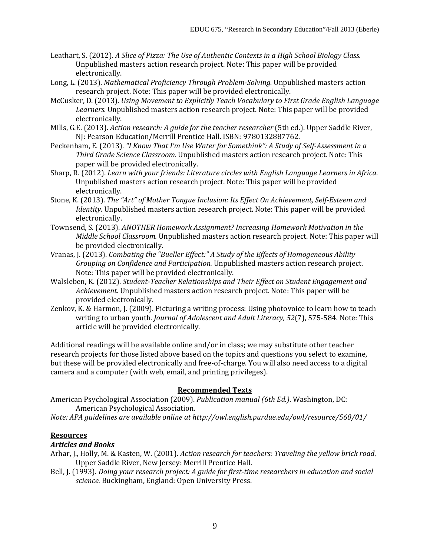- Leathart, S. (2012). *A Slice of Pizza: The Use of Authentic Contexts in a High School Biology Class.* Unpublished masters action research project. Note: This paper will be provided electronically.
- Long, L. (2013). *Mathematical Proficiency Through Problem-Solving.* Unpublished masters action research project. Note: This paper will be provided electronically.
- McCusker, D. (2013). *Using Movement to Explicitly Teach Vocabulary to First Grade English Language Learners.* Unpublished masters action research project. Note: This paper will be provided electronically.
- Mills, G.E. (2013). *Action research: A guide for the teacher researcher* (5th ed.). Upper Saddle River, NJ: Pearson Education/Merrill Prentice Hall. ISBN: 9780132887762.
- Peckenham, E. (2013). *"I Know That I'm Use Water for Somethink": A Study of Self-Assessment in a Third Grade Science Classroom.* Unpublished masters action research project. Note: This paper will be provided electronically.
- Sharp, R. (2012). *Learn with your friends: Literature circles with English Language Learners in Africa*. Unpublished masters action research project. Note: This paper will be provided electronically.
- Stone, K. (2013). *The "Art" of Mother Tongue Inclusion: Its Effect On Achievement, Self-Esteem and Identity.* Unpublished masters action research project. Note: This paper will be provided electronically.
- Townsend, S. (2013). *ANOTHER Homework Assignment? Increasing Homework Motivation in the Middle School Classroom.* Unpublished masters action research project. Note: This paper will be provided electronically.
- Vranas, J. (2013). *Combating the "Bueller Effect:" A Study of the Effects of Homogeneous Ability Grouping on Confidence and Participation.* Unpublished masters action research project. Note: This paper will be provided electronically.
- Walsleben, K. (2012). *Student-Teacher Relationships and Their Effect on Student Engagement and Achievement.* Unpublished masters action research project. Note: This paper will be provided electronically.
- Zenkov, K. & Harmon, J. (2009). Picturing a writing process: Using photovoice to learn how to teach writing to urban youth. *Journal of Adolescent and Adult Literacy, 52*(7), 575-584*.* Note: This article will be provided electronically.

Additional readings will be available online and/or in class; we may substitute other teacher research projects for those listed above based on the topics and questions you select to examine, but these will be provided electronically and free-of-charge. You will also need access to a digital camera and a computer (with web, email, and printing privileges).

# **Recommended Texts**

American Psychological Association (2009). *Publication manual (6th Ed.)*. Washington, DC: American Psychological Association.

*Note: APA guidelines are available online at http://owl.english.purdue.edu/owl/resource/560/01/*

# **Resources**

# *Articles and Books*

- Arhar, J., Holly, M. & Kasten, W. (2001). *Action research for teachers: Traveling the yellow brick road*. Upper Saddle River, New Jersey: Merrill Prentice Hall.
- Bell, J. (1993). *Doing your research project: A guide for first-time researchers in education and social science.* Buckingham, England: Open University Press.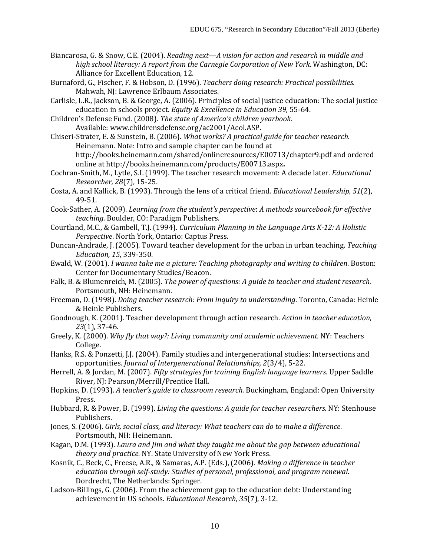- Biancarosa, G. & Snow, C.E. (2004). *Reading next—A vision for action and research in middle and high school literacy: A report from the Carnegie Corporation of New York*. Washington, DC: Alliance for Excellent Education, 12.
- Burnaford, G., Fischer, F. & Hobson, D. (1996). *Teachers doing research: Practical possibilities.* Mahwah, NJ: Lawrence Erlbaum Associates.
- Carlisle, L.R., Jackson, B. & George, A. (2006). Principles of social justice education: The social justice education in schools project. *Equity & Excellence in Education 39,* 55-64.
- Children's Defense Fund. (2008). *The state of America's children yearbook*. Available: [www.childrensdefense.org/ac2001/Acol.ASP](http://www.childrensdefense.org/ac2001/Acol.ASP)**.**
- Chiseri-Strater, E. & Sunstein, B. (2006). *What works? A practical guide for teacher research.*  Heinemann. Note: Intro and sample chapter can be found at http://books.heinemann.com/shared/onlineresources/E00713/chapter9.pdf and ordered online at<http://books.heinemann.com/products/E00713.aspx>**.**
- Cochran-Smith, M., Lytle, S.L (1999). The teacher research movement: A decade later. *Educational Researcher, 28*(7), 15-25.
- Costa, A. and Kallick, B. (1993). Through the lens of a critical friend. *Educational Leadership, 51*(2), 49-51.
- Cook-Sather, A. (2009). *Learning from the student's perspective*: *A methods sourcebook for effective teaching.* Boulder, CO: Paradigm Publishers.
- Courtland, M.C., & Gambell, T.J. (1994)*. Curriculum Planning in the Language Arts K-12: A Holistic Perspective*. North York, Ontario: Captus Press.
- Duncan-Andrade, J. (2005). Toward teacher development for the urban in urban teaching. *Teaching Education, 15*, 339-350.
- Ewald, W. (2001). *I wanna take me a picture: Teaching photography and writing to children*. Boston: Center for Documentary Studies/Beacon.
- Falk, B. & Blumenreich, M. (2005). *The power of questions: A guide to teacher and student research.*  Portsmouth, NH: Heinemann.
- Freeman, D. (1998). *Doing teacher research: From inquiry to understanding*. Toronto, Canada: Heinle & Heinle Publishers.
- Goodnough, K. (2001). Teacher development through action research. *Action in teacher education, 23*(1), 37-46.
- Greely, K. (2000). *Why fly that way?: Living community and academic achievement.* NY: Teachers College.
- Hanks, R.S. & Ponzetti, J.J. (2004). Family studies and intergenerational studies: Intersections and opportunities. *Journal of Intergenerational Relationships, 2*(3/4), 5-22.
- Herrell, A. & Jordan, M. (2007). *Fifty strategies for training English language learners*. Upper Saddle River, NJ: Pearson/Merrill/Prentice Hall.
- Hopkins, D. (1993). *A teacher's guide to classroom research.* Buckingham, England: Open University Press.
- Hubbard, R. & Power, B. (1999). *Living the questions: A guide for teacher researchers.* NY: Stenhouse Publishers.
- Jones, S. (2006). *Girls, social class, and literacy: What teachers can do to make a difference*. Portsmouth, NH: Heinemann.
- Kagan, D.M. (1993). *Laura and Jim and what they taught me about the gap between educational theory and practice.* NY. State University of New York Press.
- Kosnik, C., Beck, C., Freese, A.R., & Samaras, A.P. (Eds.), (2006). *Making a difference in teacher education through self-study: Studies of personal, professional, and program renewal*. Dordrecht, The Netherlands: Springer.
- Ladson-Billings, G. (2006). From the achievement gap to the education debt: Understanding achievement in US schools. *Educational Research, 35*(7), 3-12.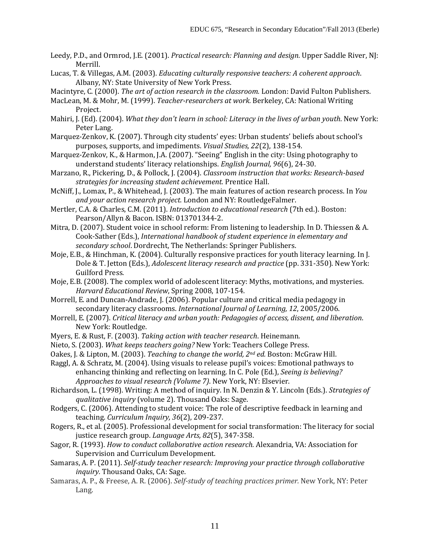- Leedy, P.D., and Ormrod, J.E. (2001). *Practical research: Planning and design.* Upper Saddle River, NJ: Merrill.
- Lucas, T. & Villegas, A.M. (2003). *Educating culturally responsive teachers: A coherent approach*. Albany, NY: State University of New York Press.

Macintyre, C. (2000). *The art of action research in the classroom.* London: David Fulton Publishers.

- MacLean, M. & Mohr, M. (1999). *Teacher-researchers at work.* Berkeley, CA: National Writing Project.
- Mahiri, J. (Ed). (2004). *What they don't learn in school: Literacy in the lives of urban youth*. New York: Peter Lang.
- Marquez-Zenkov, K. (2007). Through city students' eyes: Urban students' beliefs about school's purposes, supports, and impediments. *Visual Studies, 22*(2), 138-154.
- Marquez-Zenkov, K., & Harmon, J.A. (2007). "Seeing" English in the city: Using photography to understand students' literacy relationships. *English Journal, 96*(6), 24-30.
- Marzano, R., Pickering, D., & Pollock, J. (2004). *Classroom instruction that works: Research-based strategies for increasing student achievement.* Prentice Hall.
- McNiff, J., Lomax, P., & Whitehead, J. (2003). The main features of action research process. In *You and your action research project.* London and NY: RoutledgeFalmer.
- Mertler, C.A. & Charles, C.M. (2011). *Introduction to educational research* (7th ed.). Boston: Pearson/Allyn & Bacon. ISBN: 013701344-2.
- Mitra, D. (2007). Student voice in school reform: From listening to leadership. In D. Thiessen & A. Cook-Sather (Eds.), *International handbook of student experience in elementary and secondary school*. Dordrecht, The Netherlands: Springer Publishers.
- Moje, E.B., & Hinchman, K. (2004). Culturally responsive practices for youth literacy learning. In J. Dole & T. Jetton (Eds.), *Adolescent literacy research and practice* (pp. 331-350). New York: Guilford Press.
- Moje, E.B. (2008). The complex world of adolescent literacy: Myths, motivations, and mysteries. *Harvard Educational Review*, Spring 2008, 107-154.
- Morrell, E. and Duncan-Andrade, J. (2006). Popular culture and critical media pedagogy in secondary literacy classrooms. *International Journal of Learning, 12*, 2005/2006.
- Morrell, E. (2007). *Critical literacy and urban youth: Pedagogies of access, dissent, and liberation*. New York: Routledge.
- Myers, E. & Rust, F. (2003). *Taking action with teacher research*. Heinemann.
- Nieto, S. (2003). *What keeps teachers going?* New York: Teachers College Press.
- Oakes, J. & Lipton, M. (2003). *Teaching to change the world, 2nd ed.* Boston: McGraw Hill.
- Raggl, A. & Schratz, M. (2004). Using visuals to release pupil's voices: Emotional pathways to enhancing thinking and reflecting on learning. In C. Pole (Ed.), *Seeing is believing? Approaches to visual research (Volume 7)*. New York, NY: Elsevier.
- Richardson, L. (1998). Writing: A method of inquiry. In N. Denzin & Y. Lincoln (Eds.). *Strategies of qualitative inquiry* (volume 2). Thousand Oaks: Sage.
- Rodgers, C. (2006). Attending to student voice: The role of descriptive feedback in learning and teaching. *Curriculum Inquiry, 36*(2), 209-237.
- Rogers, R., et al. (2005). Professional development for social transformation: The literacy for social justice research group. *Language Arts, 82*(5), 347-358.
- Sagor, R. (1993). *How to conduct collaborative action research.* Alexandria, VA: Association for Supervision and Curriculum Development.
- Samaras, A. P. (2011). *Self-study teacher research: Improving your practice through collaborative inquiry.* Thousand Oaks, CA: Sage.
- Samaras, A. P., & Freese, A. R. (2006). *Self-study of teaching practices primer.* New York, NY: Peter Lang.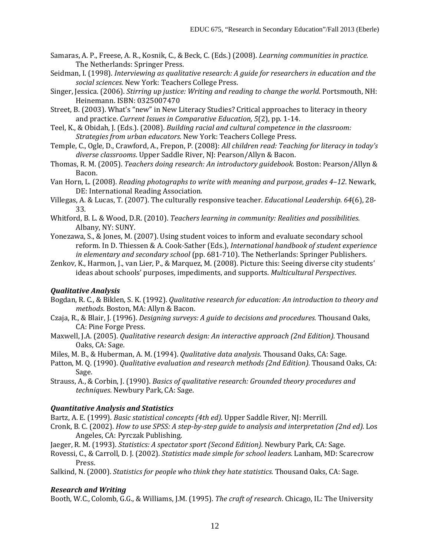- Samaras, A. P., Freese, A. R., Kosnik, C., & Beck, C. (Eds.) (2008). *Learning communities in practice.*  The Netherlands: Springer Press.
- Seidman, I. (1998). *Interviewing as qualitative research: A guide for researchers in education and the social sciences.* New York: Teachers College Press.
- Singer, Jessica. (2006). *Stirring up justice: Writing and reading to change the world*. Portsmouth, NH: Heinemann. ISBN: 0325007470
- Street, B. (2003). What's "new" in New Literacy Studies? Critical approaches to literacy in theory and practice. *Current Issues in Comparative Education, 5*(2), pp. 1-14.
- Teel, K., & Obidah, J. (Eds.). (2008). *Building racial and cultural competence in the classroom: Strategies from urban educators*. New York: Teachers College Press.
- Temple, C., Ogle, D., Crawford, A., Frepon, P. (2008): *All children read: Teaching for literacy in today's diverse classrooms*. Upper Saddle River, NJ: Pearson/Allyn & Bacon.
- Thomas, R. M. (2005). *Teachers doing research: An introductory guidebook.* Boston: Pearson/Allyn & Bacon.
- Van Horn, L. (2008). *Reading photographs to write with meaning and purpose, grades 4–12*. Newark, DE: International Reading Association.
- Villegas, A. & Lucas, T. (2007). The culturally responsive teacher. *Educational Leadership. 64*(6), 28- 33.
- Whitford, B. L. & Wood, D.R. (2010). *Teachers learning in community: Realities and possibilities*. Albany, NY: SUNY.
- Yonezawa, S., & Jones, M. (2007). Using student voices to inform and evaluate secondary school reform. In D. Thiessen & A. Cook-Sather (Eds.), *International handbook of student experience in elementary and secondary school* (pp. 681-710). The Netherlands: Springer Publishers.
- Zenkov, K., Harmon, J., van Lier, P., & Marquez, M. (2008). Picture this: Seeing diverse city students' ideas about schools' purposes, impediments, and supports. *Multicultural Perspectives*.

# *Qualitative Analysis*

- Bogdan, R. C., & Biklen, S. K. (1992). *Qualitative research for education: An introduction to theory and methods*. Boston, MA: Allyn & Bacon.
- Czaja, R., & Blair, J. (1996). *Designing surveys: A guide to decisions and procedures.* Thousand Oaks, CA: Pine Forge Press.
- Maxwell, J.A. (2005). *Qualitative research design: An interactive approach (2nd Edition).* Thousand Oaks, CA: Sage.
- Miles, M. B., & Huberman, A. M. (1994). *Qualitative data analysis*. Thousand Oaks, CA: Sage.
- Patton, M. Q. (1990). *Qualitative evaluation and research methods (2nd Edition)*. Thousand Oaks, CA: Sage.
- Strauss, A., & Corbin, J. (1990). *Basics of qualitative research: Grounded theory procedures and techniques*. Newbury Park, CA: Sage.

# *Quantitative Analysis and Statistics*

Bartz, A. E. (1999). *Basic statistical concepts (4th ed)*. Upper Saddle River, NJ: Merrill.

- Cronk, B. C. (2002). *How to use SPSS: A step-by-step guide to analysis and interpretation (2nd ed).* Los Angeles, CA: Pyrczak Publishing.
- Jaeger, R. M. (1993). *Statistics: A spectator sport (Second Edition).* Newbury Park, CA: Sage.
- Rovessi, C., & Carroll, D. J. (2002). *Statistics made simple for school leaders.* Lanham, MD: Scarecrow Press.
- Salkind, N. (2000). *Statistics for people who think they hate statistics.* Thousand Oaks, CA: Sage.

# *Research and Writing*

Booth, W.C., Colomb, G.G., & Williams, J.M. (1995). *The craft of research*. Chicago, IL: The University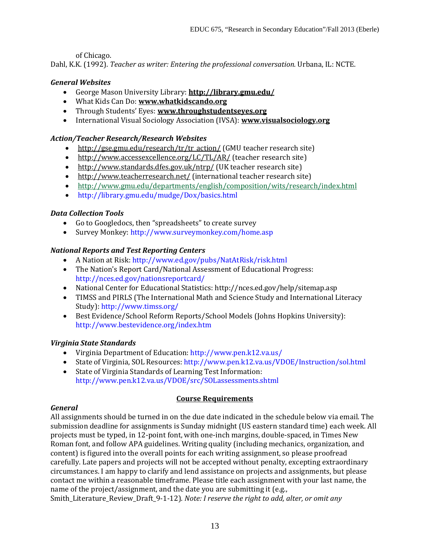of Chicago.

Dahl, K.K. (1992). *Teacher as writer: Entering the professional conversation.* Urbana, IL: NCTE.

# *General Websites*

- George Mason University Library: **<http://library.gmu.edu/>**
- What Kids Can Do: **[www.whatkidscando.org](http://www.whatkidscando.org/)**
- Through Students' Eyes: **[www.throughstudentseyes.org](http://www.throughstudentseyes.org/)**
- International Visual Sociology Association (IVSA): **[www.visualsociology.org](http://www.visualsociology.org/)**

# *Action/Teacher Research/Research Websites*

- [http://gse.gmu.edu/research/tr/tr\\_action/](http://gse.gmu.edu/research/tr/tr_action/) (GMU teacher research site)
- <http://www.accessexcellence.org/LC/TL/AR/> (teacher research site)
- <http://www.standards.dfes.gov.uk/ntrp/> (UK teacher research site)
- <http://www.teacherresearch.net/> (international teacher research site)
- <http://www.gmu.edu/departments/english/composition/wits/research/index.html>
- http://library.gmu.edu/mudge/Dox/basics.html

# *Data Collection Tools*

- Go to Googledocs, then "spreadsheets" to create survey
- Survey Monkey: http://www.surveymonkey.com/home.asp

# *National Reports and Test Reporting Centers*

- A Nation at Risk: http://www.ed.gov/pubs/NatAtRisk/risk.html
- The Nation's Report Card/National Assessment of Educational Progress: http://nces.ed.gov/nationsreportcard/
- National Center for Educational Statistics: http://nces.ed.gov/help/sitemap.asp
- TIMSS and PIRLS (The International Math and Science Study and International Literacy Study): http://www.timss.org/
- Best Evidence/School Reform Reports/School Models (Johns Hopkins University): http://www.bestevidence.org/index.htm

# *Virginia State Standards*

- Virginia Department of Education: http://www.pen.k12.va.us/
- State of Virginia, SOL Resources: http://www.pen.k12.va.us/VDOE/Instruction/sol.html
- State of Virginia Standards of Learning Test Information: http://www.pen.k12.va.us/VDOE/src/SOLassessments.shtml

# **Course Requirements**

# *General*

All assignments should be turned in on the due date indicated in the schedule below via email. The submission deadline for assignments is Sunday midnight (US eastern standard time) each week. All projects must be typed, in 12-point font, with one-inch margins, double-spaced, in Times New Roman font, and follow APA guidelines. Writing quality (including mechanics, organization, and content) is figured into the overall points for each writing assignment, so please proofread carefully. Late papers and projects will not be accepted without penalty, excepting extraordinary circumstances. I am happy to clarify and lend assistance on projects and assignments, but please contact me within a reasonable timeframe. Please title each assignment with your last name, the name of the project/assignment, and the date you are submitting it (e.g.,

Smith\_Literature\_Review\_Draft\_9-1-12). *Note: I reserve the right to add, alter, or omit any*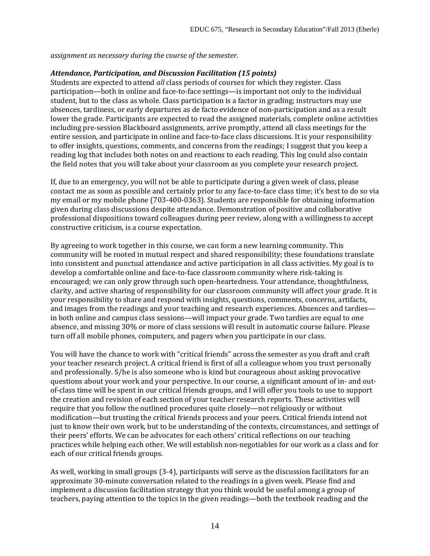*assignment as necessary during the course of the semester.*

# *Attendance, Participation, and Discussion Facilitation (15 points)*

Students are expected to attend *all* class periods of courses for which they register. Class participation—both in online and face-to-face settings—is important not only to the individual student, but to the class as whole. Class participation is a factor in grading; instructors may use absences, tardiness, or early departures as de facto evidence of non-participation and as a result lower the grade. Participants are expected to read the assigned materials, complete online activities including pre-session Blackboard assignments, arrive promptly, attend all class meetings for the entire session, and participate in online and face-to-face class discussions. It is your responsibility to offer insights, questions, comments, and concerns from the readings; I suggest that you keep a reading log that includes both notes on and reactions to each reading. This log could also contain the field notes that you will take about your classroom as you complete your research project.

If, due to an emergency, you will not be able to participate during a given week of class, please contact me as soon as possible and certainly prior to any face-to-face class time; it's best to do so via my email or my mobile phone (703-400-0363). Students are responsible for obtaining information given during class discussions despite attendance. Demonstration of positive and collaborative professional dispositions toward colleagues during peer review, along with a willingness to accept constructive criticism, is a course expectation.

By agreeing to work together in this course, we can form a new learning community. This community will be rooted in mutual respect and shared responsibility; these foundations translate into consistent and punctual attendance and active participation in all class activities. My goal is to develop a comfortable online and face-to-face classroom community where risk-taking is encouraged; we can only grow through such open-heartedness. Your attendance, thoughtfulness, clarity, and active sharing of responsibility for our classroom community will affect your grade. It is your responsibility to share and respond with insights, questions, comments, concerns, artifacts, and images from the readings and your teaching and research experiences. Absences and tardies in both online and campus class sessions—will impact your grade. Two tardies are equal to one absence, and missing 30% or more of class sessions will result in automatic course failure. Please turn off all mobile phones, computers, and pagers when you participate in our class.

You will have the chance to work with "critical friends" across the semester as you draft and craft your teacher research project. A critical friend is first of all a colleague whom you trust personally and professionally. S/he is also someone who is kind but courageous about asking provocative questions about your work and your perspective. In our course, a significant amount of in- and outof-class time will be spent in our critical friends groups, and I will offer you tools to use to support the creation and revision of each section of your teacher research reports. These activities will require that you follow the outlined procedures quite closely—not religiously or without modification—but trusting the critical friends process and your peers. Critical friends intend not just to know their own work, but to be understanding of the contexts, circumstances, and settings of their peers' efforts. We can be advocates for each others' critical reflections on our teaching practices while helping each other. We will establish non-negotiables for our work as a class and for each of our critical friends groups.

As well, working in small groups (3-4), participants will serve as the discussion facilitators for an approximate 30-minute conversation related to the readings in a given week. Please find and implement a discussion facilitation strategy that you think would be useful among a group of teachers, paying attention to the topics in the given readings—both the textbook reading and the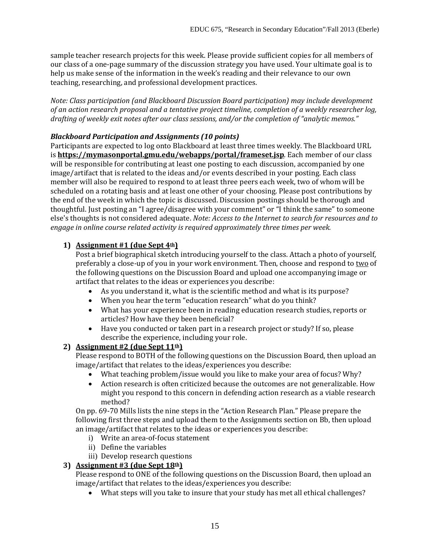sample teacher research projects for this week. Please provide sufficient copies for all members of our class of a one-page summary of the discussion strategy you have used. Your ultimate goal is to help us make sense of the information in the week's reading and their relevance to our own teaching, researching, and professional development practices.

*Note: Class participation (and Blackboard Discussion Board participation) may include development of an action research proposal and a tentative project timeline, completion of a weekly researcher log, drafting of weekly exit notes after our class sessions, and/or the completion of "analytic memos."*

# *Blackboard Participation and Assignments (10 points)*

Participants are expected to log onto Blackboard at least three times weekly. The Blackboard URL is **<https://mymasonportal.gmu.edu/webapps/portal/frameset.jsp>**. Each member of our class will be responsible for contributing at least one posting to each discussion, accompanied by one image/artifact that is related to the ideas and/or events described in your posting. Each class member will also be required to respond to at least three peers each week, two of whom will be scheduled on a rotating basis and at least one other of your choosing. Please post contributions by the end of the week in which the topic is discussed. Discussion postings should be thorough and thoughtful. Just posting an "I agree/disagree with your comment" or "I think the same" to someone else's thoughts is not considered adequate. *Note: Access to the Internet to search for resources and to engage in online course related activity is required approximately three times per week.* 

# **1) Assignment**  $#1$  (due Sept  $4^{\underline{th}}$ )

Post a brief biographical sketch introducing yourself to the class. Attach a photo of yourself, preferably a close-up of you in your work environment. Then, choose and respond to two of the following questions on the Discussion Board and upload one accompanying image or artifact that relates to the ideas or experiences you describe:

- As you understand it, what is the scientific method and what is its purpose?
- When you hear the term "education research" what do you think?
- What has your experience been in reading education research studies, reports or articles? How have they been beneficial?
- Have you conducted or taken part in a research project or study? If so, please describe the experience, including your role.

# **2) Assignment** #2 (due Sept  $11<sup>th</sup>$ )

Please respond to BOTH of the following questions on the Discussion Board, then upload an image/artifact that relates to the ideas/experiences you describe:

- What teaching problem/issue would you like to make your area of focus? Why?
- Action research is often criticized because the outcomes are not generalizable. How might you respond to this concern in defending action research as a viable research method?

On pp. 69-70 Mills lists the nine steps in the "Action Research Plan." Please prepare the following first three steps and upload them to the Assignments section on Bb, then upload an image/artifact that relates to the ideas or experiences you describe:

- i) Write an area-of-focus statement
- ii) Define the variables
- iii) Develop research questions

# **3) Assignment #3 (due Sept 18th)**

Please respond to ONE of the following questions on the Discussion Board, then upload an image/artifact that relates to the ideas/experiences you describe:

• What steps will you take to insure that your study has met all ethical challenges?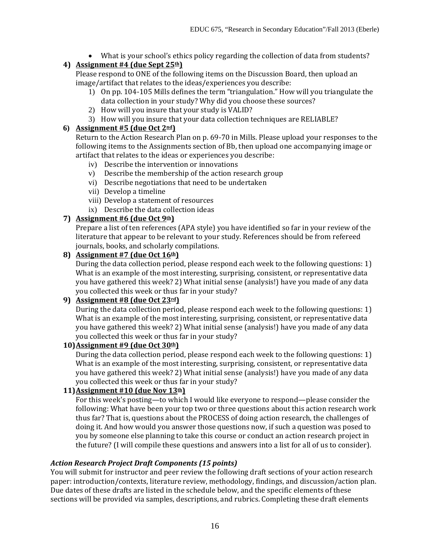• What is your school's ethics policy regarding the collection of data from students?

# **4) Assignment #4 (due Sept 25th)**

Please respond to ONE of the following items on the Discussion Board, then upload an image/artifact that relates to the ideas/experiences you describe:

- 1) On pp. 104-105 Mills defines the term "triangulation." How will you triangulate the data collection in your study? Why did you choose these sources?
- 2) How will you insure that your study is VALID?
- 3) How will you insure that your data collection techniques are RELIABLE?

# **6) Assignment #5 (due Oct 2nd)**

Return to the Action Research Plan on p. 69-70 in Mills. Please upload your responses to the following items to the Assignments section of Bb, then upload one accompanying image or artifact that relates to the ideas or experiences you describe:

- iv) Describe the intervention or innovations
- v) Describe the membership of the action research group
- vi) Describe negotiations that need to be undertaken
- vii) Develop a timeline
- viii) Develop a statement of resources
- ix) Describe the data collection ideas

# **7) Assignment #6 (due Oct 9th)**

Prepare a list of ten references (APA style) you have identified so far in your review of the literature that appear to be relevant to your study. References should be from refereed journals, books, and scholarly compilations.

# **8) Assignment #7 (due Oct 16th)**

During the data collection period, please respond each week to the following questions: 1) What is an example of the most interesting, surprising, consistent, or representative data you have gathered this week? 2) What initial sense (analysis!) have you made of any data you collected this week or thus far in your study?

# **9) Assignment #8 (due Oct 23rd)**

During the data collection period, please respond each week to the following questions: 1) What is an example of the most interesting, surprising, consistent, or representative data you have gathered this week? 2) What initial sense (analysis!) have you made of any data you collected this week or thus far in your study?

# **10)Assignment #9 (due Oct 30th)**

During the data collection period, please respond each week to the following questions: 1) What is an example of the most interesting, surprising, consistent, or representative data you have gathered this week? 2) What initial sense (analysis!) have you made of any data you collected this week or thus far in your study?

# **11)Assignment #10 (due Nov 13th)**

For this week's posting—to which I would like everyone to respond—please consider the following: What have been your top two or three questions about this action research work thus far? That is, questions about the PROCESS of doing action research, the challenges of doing it. And how would you answer those questions now, if such a question was posed to you by someone else planning to take this course or conduct an action research project in the future? (I will compile these questions and answers into a list for all of us to consider).

# *Action Research Project Draft Components (15 points)*

You will submit for instructor and peer review the following draft sections of your action research paper: introduction/contexts, literature review, methodology, findings, and discussion/action plan. Due dates of these drafts are listed in the schedule below, and the specific elements of these sections will be provided via samples, descriptions, and rubrics. Completing these draft elements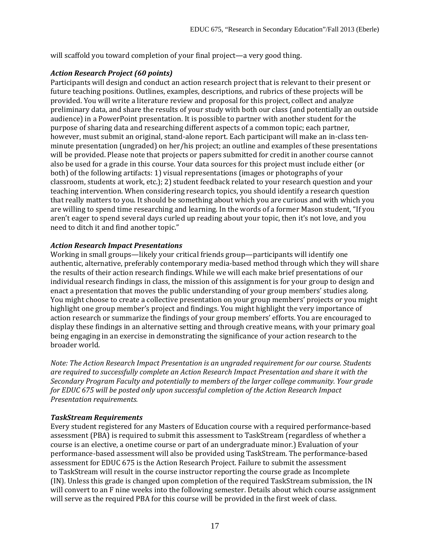will scaffold you toward completion of your final project—a very good thing.

# *Action Research Project (60 points)*

Participants will design and conduct an action research project that is relevant to their present or future teaching positions. Outlines, examples, descriptions, and rubrics of these projects will be provided. You will write a literature review and proposal for this project, collect and analyze preliminary data, and share the results of your study with both our class (and potentially an outside audience) in a PowerPoint presentation. It is possible to partner with another student for the purpose of sharing data and researching different aspects of a common topic; each partner, however, must submit an original, stand-alone report. Each participant will make an in-class tenminute presentation (ungraded) on her/his project; an outline and examples of these presentations will be provided. Please note that projects or papers submitted for credit in another course cannot also be used for a grade in this course. Your data sources for this project must include either (or both) of the following artifacts: 1) visual representations (images or photographs of your classroom, students at work, etc.); 2) student feedback related to your research question and your teaching intervention. When considering research topics, you should identify a research question that really matters to you. It should be something about which you are curious and with which you are willing to spend time researching and learning. In the words of a former Mason student, "If you aren't eager to spend several days curled up reading about your topic, then it's not love, and you need to ditch it and find another topic."

# *Action Research Impact Presentations*

Working in small groups—likely your critical friends group—participants will identify one authentic, alternative, preferably contemporary media-based method through which they will share the results of their action research findings. While we will each make brief presentations of our individual research findings in class, the mission of this assignment is for your group to design and enact a presentation that moves the public understanding of your group members' studies along. You might choose to create a collective presentation on your group members' projects or you might highlight one group member's project and findings. You might highlight the very importance of action research or summarize the findings of your group members' efforts. You are encouraged to display these findings in an alternative setting and through creative means, with your primary goal being engaging in an exercise in demonstrating the significance of your action research to the broader world.

*Note: The Action Research Impact Presentation is an ungraded requirement for our course. Students are required to successfully complete an Action Research Impact Presentation and share it with the Secondary Program Faculty and potentially to members of the larger college community. Your grade for EDUC 675 will be posted only upon successful completion of the Action Research Impact Presentation requirements.*

# *TaskStream Requirements*

Every student registered for any Masters of Education course with a required performance-based assessment (PBA) is required to submit this assessment to TaskStream (regardless of whether a course is an elective, a onetime course or part of an undergraduate minor.) Evaluation of your performance-based assessment will also be provided using TaskStream. The performance-based assessment for EDUC 675 is the Action Research Project. Failure to submit the assessment to TaskStream will result in the course instructor reporting the course grade as Incomplete (IN). Unless this grade is changed upon completion of the required TaskStream submission, the IN will convert to an F nine weeks into the following semester. Details about which course assignment will serve as the required PBA for this course will be provided in the first week of class.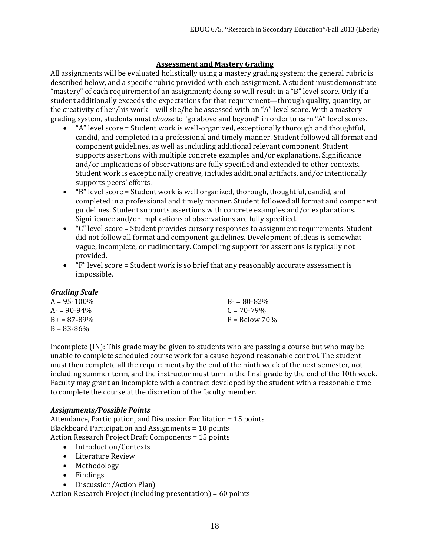# **Assessment and Mastery Grading**

All assignments will be evaluated holistically using a mastery grading system; the general rubric is described below, and a specific rubric provided with each assignment. A student must demonstrate "mastery" of each requirement of an assignment; doing so will result in a "B" level score. Only if a student additionally exceeds the expectations for that requirement—through quality, quantity, or the creativity of her/his work—will she/he be assessed with an "A" level score. With a mastery grading system, students must *choose* to "go above and beyond" in order to earn "A" level scores.

- "A" level score = Student work is well-organized, exceptionally thorough and thoughtful, candid, and completed in a professional and timely manner. Student followed all format and component guidelines, as well as including additional relevant component. Student supports assertions with multiple concrete examples and/or explanations. Significance and/or implications of observations are fully specified and extended to other contexts. Student work is exceptionally creative, includes additional artifacts, and/or intentionally supports peers' efforts.
- "B" level score = Student work is well organized, thorough, thoughtful, candid, and completed in a professional and timely manner. Student followed all format and component guidelines. Student supports assertions with concrete examples and/or explanations. Significance and/or implications of observations are fully specified.
- "C" level score = Student provides cursory responses to assignment requirements. Student did not follow all format and component guidelines. Development of ideas is somewhat vague, incomplete, or rudimentary. Compelling support for assertions is typically not provided.
- "F" level score = Student work is so brief that any reasonably accurate assessment is impossible.

# *Grading Scale*

| $A = 95 - 100\%$    | $B = 80 - 82\%$ |
|---------------------|-----------------|
| $A = 90 - 94\%$     | $C = 70 - 79\%$ |
| $B_{+} = 87 - 89\%$ | $F =$ Below 70% |
| $B = 83 - 86\%$     |                 |

Incomplete (IN): This grade may be given to students who are passing a course but who may be unable to complete scheduled course work for a cause beyond reasonable control. The student must then complete all the requirements by the end of the ninth week of the next semester, not including summer term, and the instructor must turn in the final grade by the end of the 10th week. Faculty may grant an incomplete with a contract developed by the student with a reasonable time to complete the course at the discretion of the faculty member.

#### *Assignments/Possible Points*

Attendance, Participation, and Discussion Facilitation = 15 points Blackboard Participation and Assignments = 10 points Action Research Project Draft Components = 15 points

- Introduction/Contexts
- Literature Review
- Methodology
- Findings
- Discussion/Action Plan)

Action Research Project (including presentation) = 60 points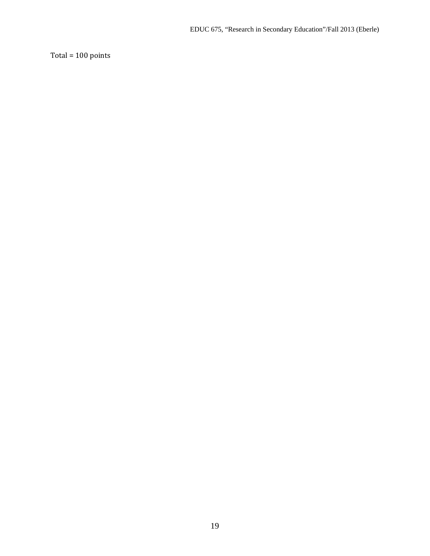Total = 100 points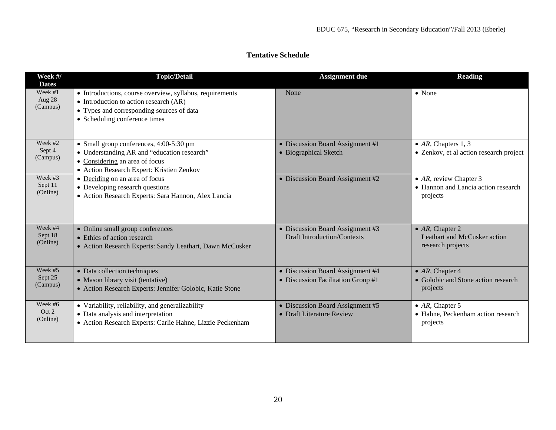#### **Week #/ Dates Topic/Detail Assignment due Reading** Week #1 Aug 28 (Campus) • Introductions, course overview, syllabus, requirements • Introduction to action research (AR) • Types and corresponding sources of data • Scheduling conference times None **• None** • None **• None** • None Week #2 Sept 4 (Campus) • Small group conferences, 4:00-5:30 pm • Understanding AR and "education research" • Considering an area of focus • Action Research Expert: Kristien Zenkov • Discussion Board Assignment #1 • Biographical Sketch • *AR*, Chapters 1, 3 • Zenkov, et al action research project Week #3 Sept 11 (Online) • Deciding on an area of focus • Developing research questions • Action Research Experts: Sara Hannon, Alex Lancia • Discussion Board Assignment #2 • *AR*, review Chapter 3 • Hannon and Lancia action research projects Week #4 Sept 18 (Online) • Online small group conferences • Ethics of action research • Action Research Experts: Sandy Leathart, Dawn McCusker • Discussion Board Assignment #3 Draft Introduction/Contexts • *AR,* Chapter 2 Leathart and McCusker action research projects Week #5 Sept 25 (Campus) • Data collection techniques • Mason library visit (tentative) • Action Research Experts: Jennifer Golobic, Katie Stone • Discussion Board Assignment #4 • Discussion Facilitation Group #1 • *AR,* Chapter 4 • Golobic and Stone action research projects Week #6 Oct 2 (Online) • Variability, reliability, and generalizability • Data analysis and interpretation • Action Research Experts: Carlie Hahne, Lizzie Peckenham • Discussion Board Assignment #5 • Draft Literature Review • *AR*, Chapter 5 • Hahne, Peckenham action research projects

#### **Tentative Schedule**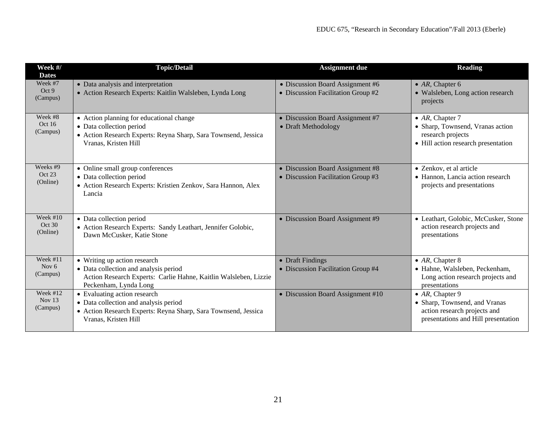| Week #/<br><b>Dates</b>           | <b>Topic/Detail</b>                                                                                                                                                | <b>Assignment due</b>                                                  | <b>Reading</b>                                                                                                             |
|-----------------------------------|--------------------------------------------------------------------------------------------------------------------------------------------------------------------|------------------------------------------------------------------------|----------------------------------------------------------------------------------------------------------------------------|
| Week #7<br>Oct 9<br>(Campus)      | • Data analysis and interpretation<br>• Action Research Experts: Kaitlin Walsleben, Lynda Long                                                                     | • Discussion Board Assignment #6<br>• Discussion Facilitation Group #2 | • $AR$ , Chapter 6<br>• Walsleben, Long action research<br>projects                                                        |
| Week #8<br>Oct $16$<br>(Campus)   | • Action planning for educational change<br>• Data collection period<br>· Action Research Experts: Reyna Sharp, Sara Townsend, Jessica<br>Vranas, Kristen Hill     | • Discussion Board Assignment #7<br>• Draft Methodology                | $\bullet$ AR, Chapter 7<br>• Sharp, Townsend, Vranas action<br>research projects<br>• Hill action research presentation    |
| Weeks #9<br>Oct 23<br>(Online)    | • Online small group conferences<br>• Data collection period<br>• Action Research Experts: Kristien Zenkov, Sara Hannon, Alex<br>Lancia                            | • Discussion Board Assignment #8<br>• Discussion Facilitation Group #3 | • Zenkov, et al article<br>• Hannon, Lancia action research<br>projects and presentations                                  |
| Week $#10$<br>Oct 30<br>(Online)  | • Data collection period<br>• Action Research Experts: Sandy Leathart, Jennifer Golobic,<br>Dawn McCusker, Katie Stone                                             | • Discussion Board Assignment #9                                       | • Leathart, Golobic, McCusker, Stone<br>action research projects and<br>presentations                                      |
| Week $#11$<br>Nov $6$<br>(Campus) | • Writing up action research<br>• Data collection and analysis period<br>Action Research Experts: Carlie Hahne, Kaitlin Walsleben, Lizzie<br>Peckenham, Lynda Long | • Draft Findings<br>• Discussion Facilitation Group #4                 | $\bullet$ AR, Chapter 8<br>· Hahne, Walsleben, Peckenham,<br>Long action research projects and<br>presentations            |
| Week #12<br>Nov $13$<br>(Campus)  | • Evaluating action research<br>• Data collection and analysis period<br>• Action Research Experts: Reyna Sharp, Sara Townsend, Jessica<br>Vranas, Kristen Hill    | • Discussion Board Assignment #10                                      | • $AR$ , Chapter 9<br>• Sharp, Townsend, and Vranas<br>action research projects and<br>presentations and Hill presentation |